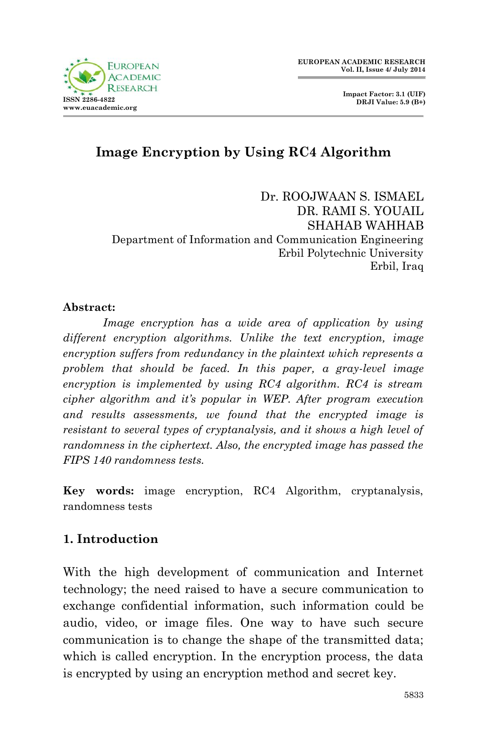

 **Impact Factor: 3.1 (UIF) DRJI Value: 5.9 (B+)**

# **Image Encryption by Using RC4 Algorithm**

Dr. ROOJWAAN S. ISMAEL DR. RAMI S. YOUAIL SHAHAB WAHHAB Department of Information and Communication Engineering Erbil Polytechnic University Erbil, Iraq

#### **Abstract:**

*Image encryption has a wide area of application by using different encryption algorithms. Unlike the text encryption, image encryption suffers from redundancy in the plaintext which represents a problem that should be faced. In this paper, a gray-level image encryption is implemented by using RC4 algorithm. RC4 is stream cipher algorithm and it's popular in WEP. After program execution and results assessments, we found that the encrypted image is resistant to several types of cryptanalysis, and it shows a high level of randomness in the ciphertext. Also, the encrypted image has passed the FIPS 140 randomness tests.*

**Key words:** image encryption, RC4 Algorithm, cryptanalysis, randomness tests

## **1. Introduction**

With the high development of communication and Internet technology; the need raised to have a secure communication to exchange confidential information, such information could be audio, video, or image files. One way to have such secure communication is to change the shape of the transmitted data; which is called encryption. In the encryption process, the data is encrypted by using an encryption method and secret key.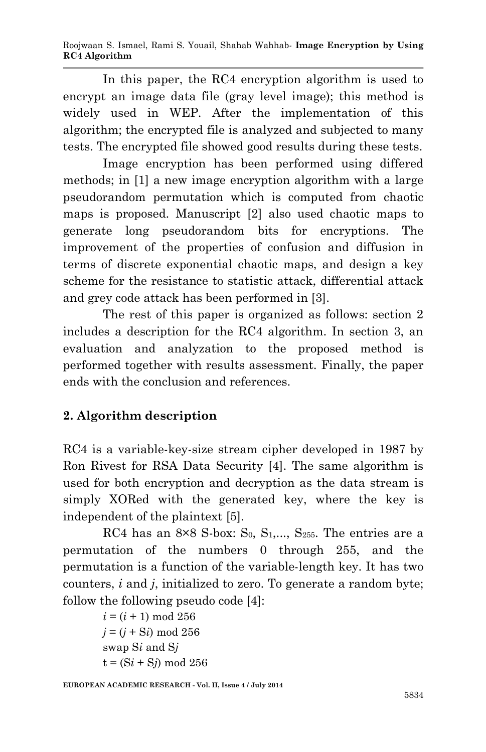Roojwaan S. Ismael, Rami S. Youail, Shahab Wahhab*-* **Image Encryption by Using RC4 Algorithm**

In this paper, the RC4 encryption algorithm is used to encrypt an image data file (gray level image); this method is widely used in WEP. After the implementation of this algorithm; the encrypted file is analyzed and subjected to many tests. The encrypted file showed good results during these tests.

Image encryption has been performed using differed methods; in [1] a new image encryption algorithm with a large pseudorandom permutation which is computed from chaotic maps is proposed. Manuscript [2] also used chaotic maps to generate long pseudorandom bits for encryptions. The improvement of the properties of confusion and diffusion in terms of discrete exponential chaotic maps, and design a key scheme for the resistance to statistic attack, differential attack and grey code attack has been performed in [3].

The rest of this paper is organized as follows: section 2 includes a description for the RC4 algorithm. In section 3, an evaluation and analyzation to the proposed method is performed together with results assessment. Finally, the paper ends with the conclusion and references.

## **2. Algorithm description**

RC4 is a variable-key-size stream cipher developed in 1987 by Ron Rivest for RSA Data Security [4]. The same algorithm is used for both encryption and decryption as the data stream is simply XORed with the generated key, where the key is independent of the plaintext [5].

RC4 has an  $8\times 8$  S-box: S<sub>0</sub>, S<sub>1</sub>,..., S<sub>255</sub>. The entries are a permutation of the numbers 0 through 255, and the permutation is a function of the variable-length key. It has two counters, *i* and *j*, initialized to zero. To generate a random byte; follow the following pseudo code [4]:

> $i = (i + 1) \text{ mod } 256$  $j = (j + Si) \text{ mod } 256$ swap S*i* and S*j*  $t = (Si + Sj) \text{ mod } 256$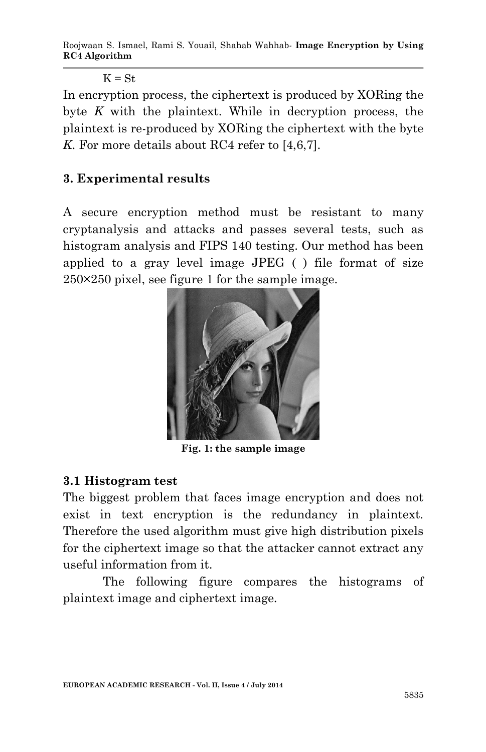Roojwaan S. Ismael, Rami S. Youail, Shahab Wahhab*-* **Image Encryption by Using RC4 Algorithm**

 $K = St$ 

In encryption process, the ciphertext is produced by XORing the byte *K* with the plaintext. While in decryption process, the plaintext is re-produced by XORing the ciphertext with the byte *K*. For more details about RC4 refer to [4,6,7].

#### **3. Experimental results**

A secure encryption method must be resistant to many cryptanalysis and attacks and passes several tests, such as histogram analysis and FIPS 140 testing. Our method has been applied to a gray level image JPEG ( ) file format of size 250×250 pixel, see figure 1 for the sample image.



**Fig. 1: the sample image**

#### **3.1 Histogram test**

The biggest problem that faces image encryption and does not exist in text encryption is the redundancy in plaintext. Therefore the used algorithm must give high distribution pixels for the ciphertext image so that the attacker cannot extract any useful information from it.

The following figure compares the histograms of plaintext image and ciphertext image.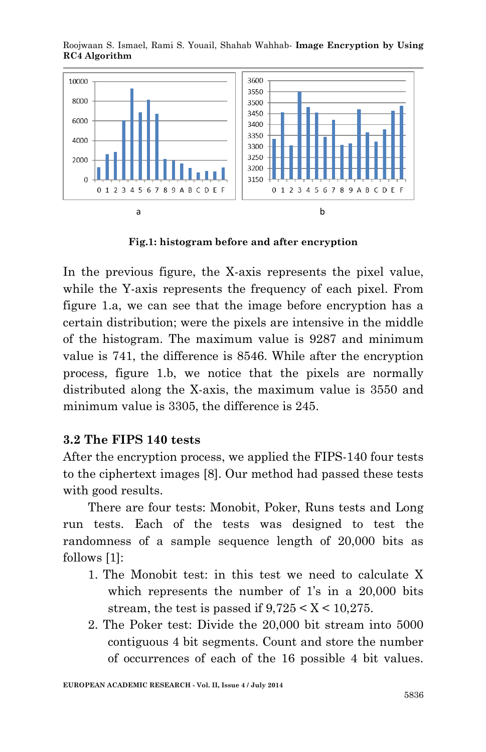Roojwaan S. Ismael, Rami S. Youail, Shahab Wahhab*-* **Image Encryption by Using RC4 Algorithm**



**Fig.1: histogram before and after encryption**

In the previous figure, the X-axis represents the pixel value, while the Y-axis represents the frequency of each pixel. From figure 1.a, we can see that the image before encryption has a certain distribution; were the pixels are intensive in the middle of the histogram. The maximum value is 9287 and minimum value is 741, the difference is 8546. While after the encryption process, figure 1.b, we notice that the pixels are normally distributed along the X-axis, the maximum value is 3550 and minimum value is 3305, the difference is 245.

### **3.2 The FIPS 140 tests**

After the encryption process, we applied the FIPS-140 four tests to the ciphertext images [8]. Our method had passed these tests with good results.

There are four tests: Monobit, Poker, Runs tests and Long run tests. Each of the tests was designed to test the randomness of a sample sequence length of 20,000 bits as follows [1]:

- 1. The Monobit test: in this test we need to calculate X which represents the number of 1's in a 20,000 bits stream, the test is passed if  $9,725 < X < 10,275$ .
- 2. The Poker test: Divide the 20,000 bit stream into 5000 contiguous 4 bit segments. Count and store the number of occurrences of each of the 16 possible 4 bit values.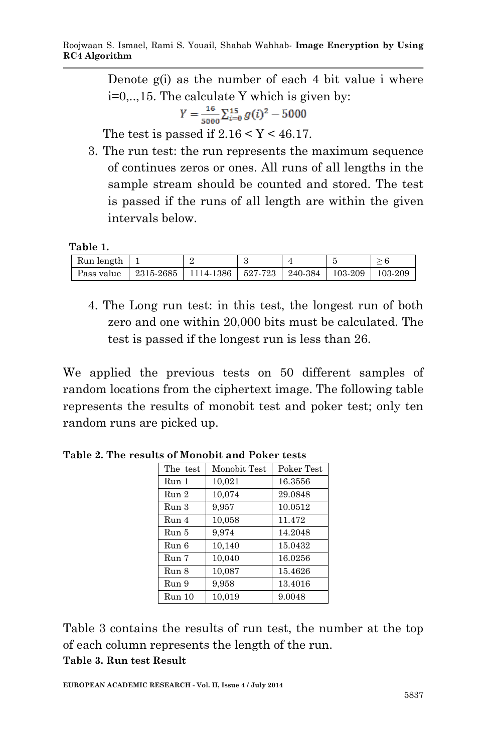Denote g(i) as the number of each 4 bit value i where i=0,..,15. The calculate Y which is given by:

$$
Y = \frac{16}{5000} \sum_{i=0}^{15} g(i)^2 - 5000
$$

The test is passed if  $2.16 \le Y \le 46.17$ .

3. The run test: the run represents the maximum sequence of continues zeros or ones. All runs of all lengths in the sample stream should be counted and stored. The test is passed if the runs of all length are within the given intervals below.

 **Table 1.** 

| Run length |           |           |                               |         |
|------------|-----------|-----------|-------------------------------|---------|
| Pass value | 2315-2685 | 1114-1386 | $527-723$   240-384   103-209 | 103-209 |

4. The Long run test: in this test, the longest run of both zero and one within 20,000 bits must be calculated. The test is passed if the longest run is less than 26.

We applied the previous tests on 50 different samples of random locations from the ciphertext image. The following table represents the results of monobit test and poker test; only ten random runs are picked up.

| The test         | Monobit Test | Poker Test |
|------------------|--------------|------------|
| Run 1            | 10,021       | 16.3556    |
| Run 2            | 10.074       | 29.0848    |
| Run 3            | 9,957        | 10.0512    |
| Run <sub>4</sub> | 10.058       | 11.472     |
| Run 5            | 9.974        | 14.2048    |
| Run 6            | 10,140       | 15.0432    |
| Run 7            | 10,040       | 16.0256    |
| Run 8            | 10,087       | 15.4626    |
| Run 9            | 9.958        | 13.4016    |
| Run 10           | 10,019       | 9.0048     |

**Table 2. The results of Monobit and Poker tests**

Table 3 contains the results of run test, the number at the top of each column represents the length of the run. **Table 3. Run test Result**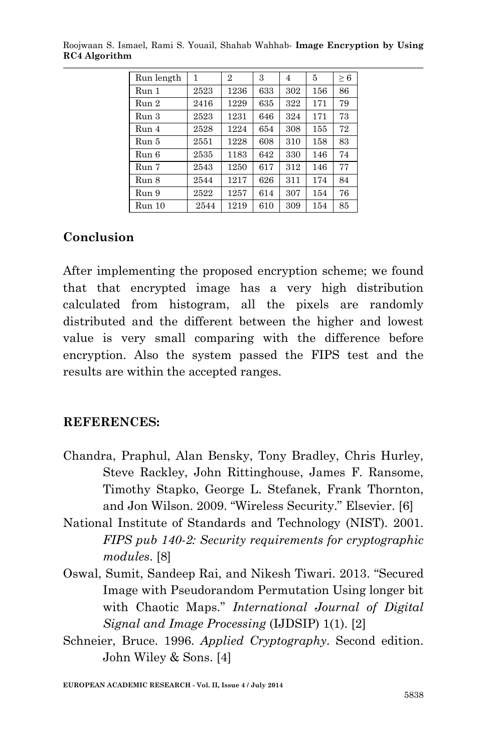| Run length | 1    | $\overline{2}$ | 3   | 4   | 5   | $\geq 6$ |
|------------|------|----------------|-----|-----|-----|----------|
| Run 1      | 2523 | 1236           | 633 | 302 | 156 | 86       |
| Run 2      | 2416 | 1229           | 635 | 322 | 171 | 79       |
| Run 3      | 2523 | 1231           | 646 | 324 | 171 | 73       |
| Run 4      | 2528 | 1224           | 654 | 308 | 155 | 72       |
| Run 5      | 2551 | 1228           | 608 | 310 | 158 | 83       |
| Run 6      | 2535 | 1183           | 642 | 330 | 146 | 74       |
| Run 7      | 2543 | 1250           | 617 | 312 | 146 | 77       |
| Run 8      | 2544 | 1217           | 626 | 311 | 174 | 84       |
| Run 9      | 2522 | 1257           | 614 | 307 | 154 | 76       |
| Run 10     | 2544 | 1219           | 610 | 309 | 154 | 85       |

Roojwaan S. Ismael, Rami S. Youail, Shahab Wahhab*-* **Image Encryption by Using RC4 Algorithm**

### **Conclusion**

After implementing the proposed encryption scheme; we found that that encrypted image has a very high distribution calculated from histogram, all the pixels are randomly distributed and the different between the higher and lowest value is very small comparing with the difference before encryption. Also the system passed the FIPS test and the results are within the accepted ranges.

#### **REFERENCES:**

- Chandra, Praphul, Alan Bensky, Tony Bradley, Chris Hurley, Steve Rackley, John Rittinghouse, James F. Ransome, Timothy Stapko, George L. Stefanek, Frank Thornton, and Jon Wilson. 2009. "Wireless Security." Elsevier. [6]
- National Institute of Standards and Technology (NIST). 2001. *FIPS pub 140-2: Security requirements for cryptographic modules*. [8]
- Oswal, Sumit, Sandeep Rai, and Nikesh Tiwari. 2013. "Secured Image with Pseudorandom Permutation Using longer bit with Chaotic Maps." *International Journal of Digital Signal and Image Processing* (IJDSIP) 1(1). [2]
- Schneier, Bruce. 1996. *Applied Cryptography*. Second edition. John Wiley & Sons. [4]